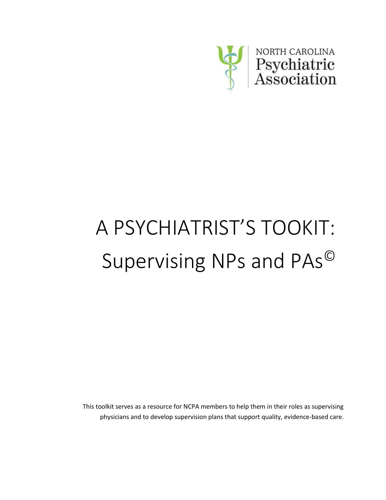

This toolkit serves as a resource for NCPA members to help them in their roles as supervising physicians and to develop supervision plans that support quality, evidence-based care.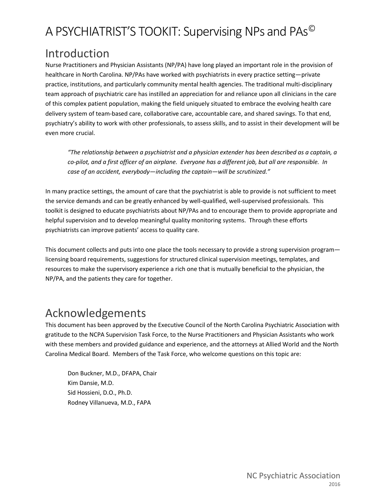# Introduction

Nurse Practitioners and Physician Assistants (NP/PA) have long played an important role in the provision of healthcare in North Carolina. NP/PAs have worked with psychiatrists in every practice setting—private practice, institutions, and particularly community mental health agencies. The traditional multi-disciplinary team approach of psychiatric care has instilled an appreciation for and reliance upon all clinicians in the care of this complex patient population, making the field uniquely situated to embrace the evolving health care delivery system of team-based care, collaborative care, accountable care, and shared savings. To that end, psychiatry's ability to work with other professionals, to assess skills, and to assist in their development will be even more crucial.

*"The relationship between a psychiatrist and a physician extender has been described as a captain, a co-pilot, and a first officer of an airplane. Everyone has a different job, but all are responsible. In case of an accident, everybody—including the captain—will be scrutinized."*

In many practice settings, the amount of care that the psychiatrist is able to provide is not sufficient to meet the service demands and can be greatly enhanced by well-qualified, well-supervised professionals. This toolkit is designed to educate psychiatrists about NP/PAs and to encourage them to provide appropriate and helpful supervision and to develop meaningful quality monitoring systems. Through these efforts psychiatrists can improve patients' access to quality care.

This document collects and puts into one place the tools necessary to provide a strong supervision program licensing board requirements, suggestions for structured clinical supervision meetings, templates, and resources to make the supervisory experience a rich one that is mutually beneficial to the physician, the NP/PA, and the patients they care for together.

# Acknowledgements

This document has been approved by the Executive Council of the North Carolina Psychiatric Association with gratitude to the NCPA Supervision Task Force, to the Nurse Practitioners and Physician Assistants who work with these members and provided guidance and experience, and the attorneys at Allied World and the North Carolina Medical Board. Members of the Task Force, who welcome questions on this topic are:

Don Buckner, M.D., DFAPA, Chair Kim Dansie, M.D. Sid Hossieni, D.O., Ph.D. Rodney Villanueva, M.D., FAPA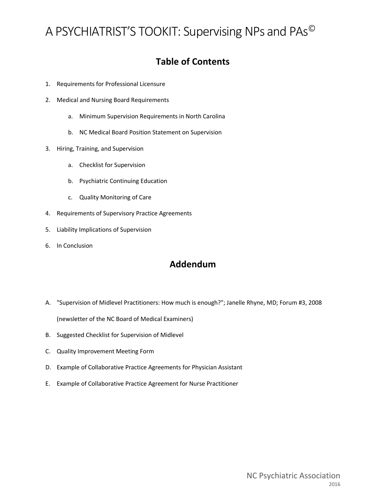## **Table of Contents**

- 1. Requirements for Professional Licensure
- 2. Medical and Nursing Board Requirements
	- a. Minimum Supervision Requirements in North Carolina
	- b. NC Medical Board Position Statement on Supervision
- 3. Hiring, Training, and Supervision
	- a. Checklist for Supervision
	- b. Psychiatric Continuing Education
	- c. Quality Monitoring of Care
- 4. Requirements of Supervisory Practice Agreements
- 5. Liability Implications of Supervision
- 6. In Conclusion

### **Addendum**

- A. "Supervision of Midlevel Practitioners: How much is enough?"; Janelle Rhyne, MD; Forum #3, 2008 (newsletter of the NC Board of Medical Examiners)
- B. Suggested Checklist for Supervision of Midlevel
- C. Quality Improvement Meeting Form
- D. Example of Collaborative Practice Agreements for Physician Assistant
- E. Example of Collaborative Practice Agreement for Nurse Practitioner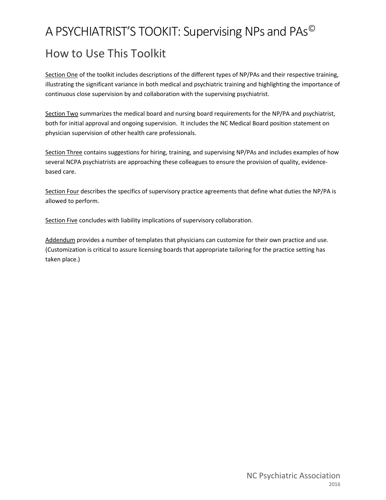# A PSYCHIATRIST'S TOOKIT: Supervising NPs and PAs© How to Use This Toolkit

Section One of the toolkit includes descriptions of the different types of NP/PAs and their respective training, illustrating the significant variance in both medical and psychiatric training and highlighting the importance of continuous close supervision by and collaboration with the supervising psychiatrist.

Section Two summarizes the medical board and nursing board requirements for the NP/PA and psychiatrist, both for initial approval and ongoing supervision. It includes the NC Medical Board position statement on physician supervision of other health care professionals.

Section Three contains suggestions for hiring, training, and supervising NP/PAs and includes examples of how several NCPA psychiatrists are approaching these colleagues to ensure the provision of quality, evidencebased care.

Section Four describes the specifics of supervisory practice agreements that define what duties the NP/PA is allowed to perform.

Section Five concludes with liability implications of supervisory collaboration.

Addendum provides a number of templates that physicians can customize for their own practice and use. (Customization is critical to assure licensing boards that appropriate tailoring for the practice setting has taken place.)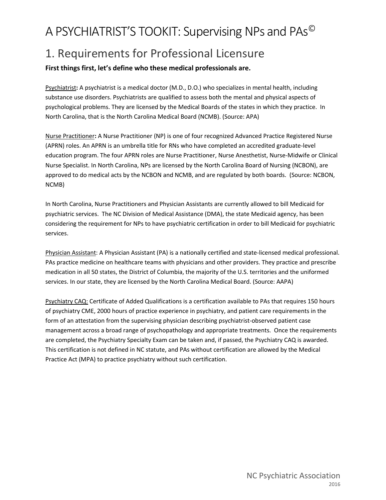# 1. Requirements for Professional Licensure

### **First things first, let's define who these medical professionals are.**

Psychiatrist**:** A psychiatrist is a medical doctor (M.D., D.O.) who specializes in mental health, including substance use disorders. Psychiatrists are qualified to assess both the mental and physical aspects of psychological problems. They are licensed by the Medical Boards of the states in which they practice. In North Carolina, that is the North Carolina Medical Board (NCMB). (Source: APA)

Nurse Practitioner**:** A Nurse Practitioner (NP) is one of four recognized Advanced Practice Registered Nurse (APRN) roles. An APRN is an umbrella title for RNs who have completed an accredited graduate-level education program. The four APRN roles are [Nurse Practitioner,](http://www.ncbon.com/dcp/i/nursing-practice-nurse-practitioner-general-information) [Nurse Anesthetist,](http://www.ncbon.com/dcp/i/nursing-practice-certified-reg-nurse-anesthetist-general-information) [Nurse-Midwife](http://www.ncbon.com/dcp/i/nursing-practice-certified-nurse-midwife-general-information) or [Clinical](http://www.ncbon.com/dcp/i/nursing-practice-clinical-nurse-specialists-general-information)  [Nurse Specialist.](http://www.ncbon.com/dcp/i/nursing-practice-clinical-nurse-specialists-general-information) In North Carolina, NPs are licensed by the North Carolina Board of Nursing (NCBON), are approved to do medical acts by the NCBON and NCMB, and are regulated by both boards. (Source: NCBON, NCMB)

In North Carolina, Nurse Practitioners and Physician Assistants are currently allowed to bill Medicaid for psychiatric services. The NC Division of Medical Assistance (DMA), the state Medicaid agency, has been considering the requirement for NPs to have psychiatric certification in order to bill Medicaid for psychiatric services.

Physician Assistant: A Physician Assistant (PA) is a nationally certified and state-licensed medical professional. PAs practice medicine on healthcare teams with physicians and other providers. They practice and prescribe medication in all 50 states, the District of Columbia, the majority of the U.S. territories and the uniformed services. In our state, they are licensed by the North Carolina Medical Board. (Source: AAPA)

Psychiatry CAQ: Certificate of Added Qualifications is a certification available to PAs that requires 150 hours of psychiatry CME, 2000 hours of practice experience in psychiatry, and patient care requirements in the form of an attestation from the supervising physician describing psychiatrist-observed patient case management across a broad range of psychopathology and appropriate treatments. Once the requirements are completed, the Psychiatry Specialty Exam can be taken and, if passed, the Psychiatry CAQ is awarded. This certification is not defined in NC statute, and PAs without certification are allowed by the Medical Practice Act (MPA) to practice psychiatry without such certification.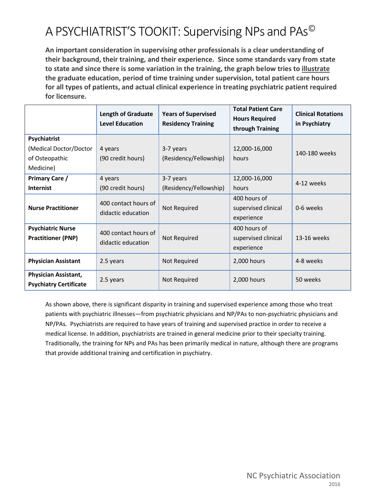**An important consideration in supervising other professionals is a clear understanding of their background, their training, and their experience. Since some standards vary from state to state and since there is some variation in the training, the graph below tries to illustrate the graduate education, period of time training under supervision, total patient care hours for all types of patients, and actual clinical experience in treating psychiatric patient required for licensure.** 

|                                                                       | <b>Length of Graduate</b><br><b>Level Education</b> | <b>Years of Supervised</b><br><b>Residency Training</b> | <b>Total Patient Care</b><br><b>Hours Required</b><br>through Training | <b>Clinical Rotations</b><br>in Psychiatry |
|-----------------------------------------------------------------------|-----------------------------------------------------|---------------------------------------------------------|------------------------------------------------------------------------|--------------------------------------------|
| Psychiatrist<br>(Medical Doctor/Doctor<br>of Osteopathic<br>Medicine) | 4 years<br>(90 credit hours)                        | 3-7 years<br>(Residency/Fellowship)                     | 12,000-16,000<br>hours                                                 | 140-180 weeks                              |
| <b>Primary Care /</b><br><b>Internist</b>                             | 4 years<br>(90 credit hours)                        | 3-7 years<br>(Residency/Fellowship)                     | 12,000-16,000<br>hours                                                 | 4-12 weeks                                 |
| <b>Nurse Practitioner</b>                                             | 400 contact hours of<br>didactic education          | Not Required                                            | 400 hours of<br>supervised clinical<br>experience                      | 0-6 weeks                                  |
| <b>Psychiatric Nurse</b><br><b>Practitioner (PNP)</b>                 | 400 contact hours of<br>didactic education          | Not Required                                            | 400 hours of<br>supervised clinical<br>experience                      | 13-16 weeks                                |
| <b>Physician Assistant</b>                                            | 2.5 years                                           | Not Required                                            | 2,000 hours                                                            | 4-8 weeks                                  |
| Physician Assistant,<br><b>Psychiatry Certificate</b>                 | 2.5 years                                           | Not Required                                            | 2,000 hours                                                            | 50 weeks                                   |

As shown above, there is significant disparity in training and supervised experience among those who treat patients with psychiatric illnesses—from psychiatric physicians and NP/PAs to non-psychiatric physicians and NP/PAs. Psychiatrists are required to have years of training and supervised practice in order to receive a medical license. In addition, psychiatrists are trained in general medicine prior to their specialty training. Traditionally, the training for NPs and PAs has been primarily medical in nature, although there are programs that provide additional training and certification in psychiatry.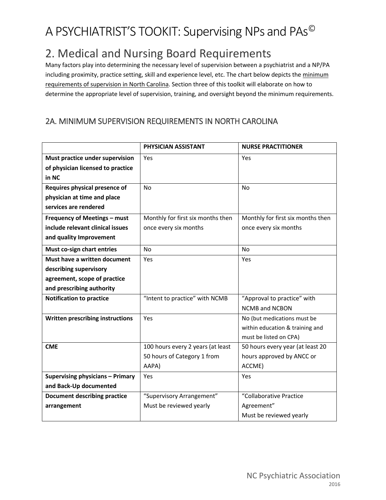# 2. Medical and Nursing Board Requirements

Many factors play into determining the necessary level of supervision between a psychiatrist and a NP/PA including proximity, practice setting, skill and experience level, etc. The chart below depicts the minimum requirements of supervision in North Carolina. Section three of this toolkit will elaborate on how to determine the appropriate level of supervision, training, and oversight beyond the minimum requirements.

### 2A. MINIMUM SUPERVISION REQUIREMENTS IN NORTH CAROLINA

|                                         | PHYSICIAN ASSISTANT               | <b>NURSE PRACTITIONER</b>         |
|-----------------------------------------|-----------------------------------|-----------------------------------|
| Must practice under supervision         | Yes                               | Yes                               |
| of physician licensed to practice       |                                   |                                   |
| in NC                                   |                                   |                                   |
| Requires physical presence of           | <b>No</b>                         | <b>No</b>                         |
| physician at time and place             |                                   |                                   |
| services are rendered                   |                                   |                                   |
| Frequency of Meetings - must            | Monthly for first six months then | Monthly for first six months then |
| include relevant clinical issues        | once every six months             | once every six months             |
| and quality Improvement                 |                                   |                                   |
| Must co-sign chart entries              | <b>No</b>                         | <b>No</b>                         |
| Must have a written document            | Yes                               | Yes                               |
| describing supervisory                  |                                   |                                   |
| agreement, scope of practice            |                                   |                                   |
| and prescribing authority               |                                   |                                   |
| <b>Notification to practice</b>         | "Intent to practice" with NCMB    | "Approval to practice" with       |
|                                         |                                   | <b>NCMB and NCBON</b>             |
| Written prescribing instructions        | Yes                               | No (but medications must be       |
|                                         |                                   | within education & training and   |
|                                         |                                   | must be listed on CPA)            |
| <b>CME</b>                              | 100 hours every 2 years (at least | 50 hours every year (at least 20  |
|                                         | 50 hours of Category 1 from       | hours approved by ANCC or         |
|                                         | AAPA)                             | ACCME)                            |
| <b>Supervising physicians - Primary</b> | Yes                               | Yes                               |
| and Back-Up documented                  |                                   |                                   |
| <b>Document describing practice</b>     | "Supervisory Arrangement"         | "Collaborative Practice           |
| arrangement                             | Must be reviewed yearly           | Agreement"                        |
|                                         |                                   | Must be reviewed yearly           |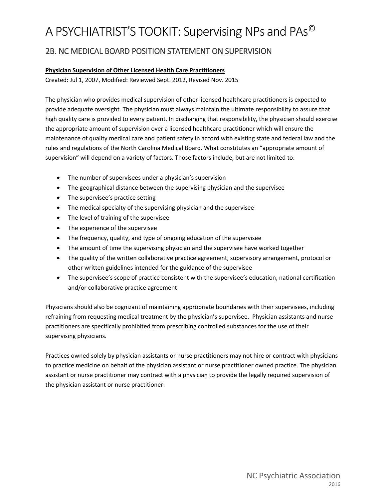### 2B. NC MEDICAL BOARD POSITION STATEMENT ON SUPERVISION

### **Physician Supervision of Other Licensed Health Care Practitioners**

Created: Jul 1, 2007, Modified: Reviewed Sept. 2012, Revised Nov. 2015

The physician who provides medical supervision of other licensed healthcare practitioners is expected to provide adequate oversight. The physician must always maintain the ultimate responsibility to assure that high quality care is provided to every patient. In discharging that responsibility, the physician should exercise the appropriate amount of supervision over a licensed healthcare practitioner which will ensure the maintenance of quality medical care and patient safety in accord with existing state and federal law and the rules and regulations of the North Carolina Medical Board. What constitutes an "appropriate amount of supervision" will depend on a variety of factors. Those factors include, but are not limited to:

- The number of supervisees under a physician's supervision
- The geographical distance between the supervising physician and the supervisee
- The supervisee's practice setting
- The medical specialty of the supervising physician and the supervisee
- The level of training of the supervisee
- The experience of the supervisee
- The frequency, quality, and type of ongoing education of the supervisee
- The amount of time the supervising physician and the supervisee have worked together
- The quality of the written collaborative practice agreement, supervisory arrangement, protocol or other written guidelines intended for the guidance of the supervisee
- The supervisee's scope of practice consistent with the supervisee's education, national certification and/or collaborative practice agreement

Physicians should also be cognizant of maintaining appropriate boundaries with their supervisees, including refraining from requesting medical treatment by the physician's supervisee. Physician assistants and nurse practitioners are specifically prohibited from prescribing controlled substances for the use of their supervising physicians.

Practices owned solely by physician assistants or nurse practitioners may not hire or contract with physicians to practice medicine on behalf of the physician assistant or nurse practitioner owned practice. The physician assistant or nurse practitioner may contract with a physician to provide the legally required supervision of the physician assistant or nurse practitioner.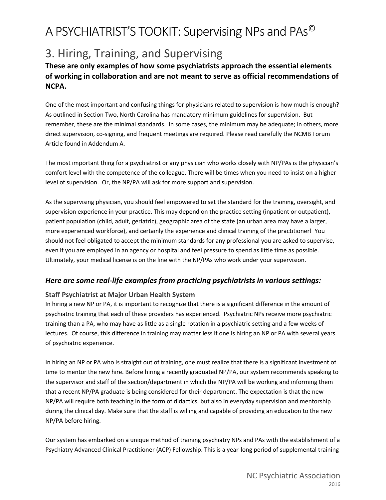# 3. Hiring, Training, and Supervising

### **These are only examples of how some psychiatrists approach the essential elements of working in collaboration and are not meant to serve as official recommendations of NCPA.**

One of the most important and confusing things for physicians related to supervision is how much is enough? As outlined in Section Two, North Carolina has mandatory minimum guidelines for supervision. But remember, these are the minimal standards. In some cases, the minimum may be adequate; in others, more direct supervision, co-signing, and frequent meetings are required. Please read carefully the NCMB Forum Article found in Addendum A.

The most important thing for a psychiatrist or any physician who works closely with NP/PAs is the physician's comfort level with the competence of the colleague. There will be times when you need to insist on a higher level of supervision. Or, the NP/PA will ask for more support and supervision.

As the supervising physician, you should feel empowered to set the standard for the training, oversight, and supervision experience in your practice. This may depend on the practice setting (inpatient or outpatient), patient population (child, adult, geriatric), geographic area of the state (an urban area may have a larger, more experienced workforce), and certainly the experience and clinical training of the practitioner! You should not feel obligated to accept the minimum standards for any professional you are asked to supervise, even if you are employed in an agency or hospital and feel pressure to spend as little time as possible. Ultimately, your medical license is on the line with the NP/PAs who work under your supervision.

### *Here are some real-life examples from practicing psychiatrists in various settings:*

### **Staff Psychiatrist at Major Urban Health System**

In hiring a new NP or PA, it is important to recognize that there is a significant difference in the amount of psychiatric training that each of these providers has experienced. Psychiatric NPs receive more psychiatric training than a PA, who may have as little as a single rotation in a psychiatric setting and a few weeks of lectures. Of course, this difference in training may matter less if one is hiring an NP or PA with several years of psychiatric experience.

In hiring an NP or PA who is straight out of training, one must realize that there is a significant investment of time to mentor the new hire. Before hiring a recently graduated NP/PA, our system recommends speaking to the supervisor and staff of the section/department in which the NP/PA will be working and informing them that a recent NP/PA graduate is being considered for their department. The expectation is that the new NP/PA will require both teaching in the form of didactics, but also in everyday supervision and mentorship during the clinical day. Make sure that the staff is willing and capable of providing an education to the new NP/PA before hiring.

Our system has embarked on a unique method of training psychiatry NPs and PAs with the establishment of a Psychiatry Advanced Clinical Practitioner (ACP) Fellowship. This is a year-long period of supplemental training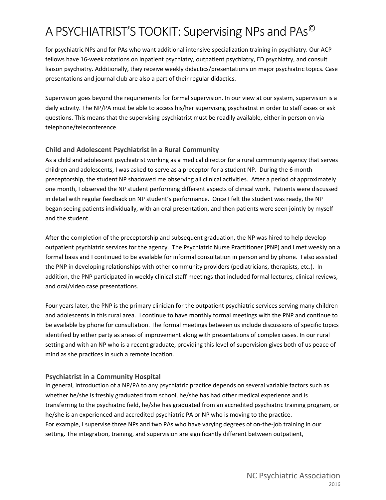for psychiatric NPs and for PAs who want additional intensive specialization training in psychiatry. Our ACP fellows have 16-week rotations on inpatient psychiatry, outpatient psychiatry, ED psychiatry, and consult liaison psychiatry. Additionally, they receive weekly didactics/presentations on major psychiatric topics. Case presentations and journal club are also a part of their regular didactics.

Supervision goes beyond the requirements for formal supervision. In our view at our system, supervision is a daily activity. The NP/PA must be able to access his/her supervising psychiatrist in order to staff cases or ask questions. This means that the supervising psychiatrist must be readily available, either in person on via telephone/teleconference.

### **Child and Adolescent Psychiatrist in a Rural Community**

As a child and adolescent psychiatrist working as a medical director for a rural community agency that serves children and adolescents, I was asked to serve as a preceptor for a student NP. During the 6 month preceptorship, the student NP shadowed me observing all clinical activities. After a period of approximately one month, I observed the NP student performing different aspects of clinical work. Patients were discussed in detail with regular feedback on NP student's performance. Once I felt the student was ready, the NP began seeing patients individually, with an oral presentation, and then patients were seen jointly by myself and the student.

After the completion of the preceptorship and subsequent graduation, the NP was hired to help develop outpatient psychiatric services for the agency. The Psychiatric Nurse Practitioner (PNP) and I met weekly on a formal basis and I continued to be available for informal consultation in person and by phone. I also assisted the PNP in developing relationships with other community providers (pediatricians, therapists, etc.). In addition, the PNP participated in weekly clinical staff meetings that included formal lectures, clinical reviews, and oral/video case presentations.

Four years later, the PNP is the primary clinician for the outpatient psychiatric services serving many children and adolescents in this rural area. I continue to have monthly formal meetings with the PNP and continue to be available by phone for consultation. The formal meetings between us include discussions of specific topics identified by either party as areas of improvement along with presentations of complex cases. In our rural setting and with an NP who is a recent graduate, providing this level of supervision gives both of us peace of mind as she practices in such a remote location.

### **Psychiatrist in a Community Hospital**

In general, introduction of a NP/PA to any psychiatric practice depends on several variable factors such as whether he/she is freshly graduated from school, he/she has had other medical experience and is transferring to the psychiatric field, he/she has graduated from an accredited psychiatric training program, or he/she is an experienced and accredited psychiatric PA or NP who is moving to the practice. For example, I supervise three NPs and two PAs who have varying degrees of on-the-job training in our setting. The integration, training, and supervision are significantly different between outpatient,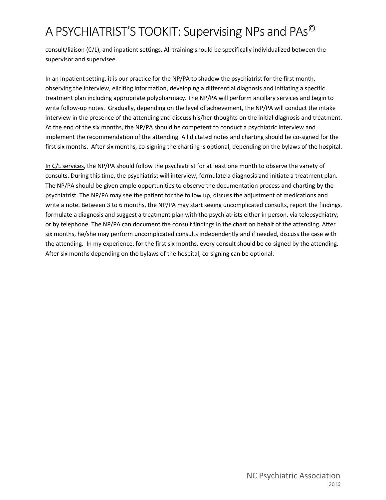consult/liaison (C/L), and inpatient settings. All training should be specifically individualized between the supervisor and supervisee.

In an Inpatient setting, it is our practice for the NP/PA to shadow the psychiatrist for the first month, observing the interview, eliciting information, developing a differential diagnosis and initiating a specific treatment plan including appropriate polypharmacy. The NP/PA will perform ancillary services and begin to write follow-up notes. Gradually, depending on the level of achievement, the NP/PA will conduct the intake interview in the presence of the attending and discuss his/her thoughts on the initial diagnosis and treatment. At the end of the six months, the NP/PA should be competent to conduct a psychiatric interview and implement the recommendation of the attending. All dictated notes and charting should be co-signed for the first six months. After six months, co-signing the charting is optional, depending on the bylaws of the hospital.

In C/L services, the NP/PA should follow the psychiatrist for at least one month to observe the variety of consults. During this time, the psychiatrist will interview, formulate a diagnosis and initiate a treatment plan. The NP/PA should be given ample opportunities to observe the documentation process and charting by the psychiatrist. The NP/PA may see the patient for the follow up, discuss the adjustment of medications and write a note. Between 3 to 6 months, the NP/PA may start seeing uncomplicated consults, report the findings, formulate a diagnosis and suggest a treatment plan with the psychiatrists either in person, via telepsychiatry, or by telephone. The NP/PA can document the consult findings in the chart on behalf of the attending. After six months, he/she may perform uncomplicated consults independently and if needed, discuss the case with the attending. In my experience, for the first six months, every consult should be co-signed by the attending. After six months depending on the bylaws of the hospital, co-signing can be optional.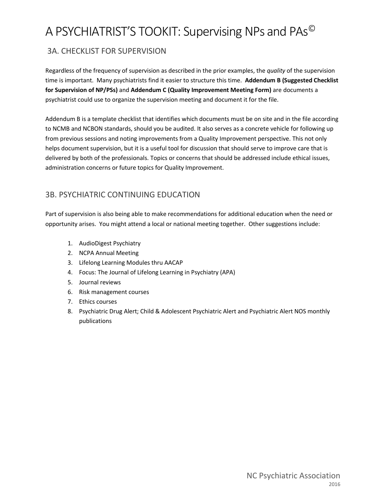### 3A. CHECKLIST FOR SUPERVISION

Regardless of the frequency of supervision as described in the prior examples, the *quality* of the supervision time is important. Many psychiatrists find it easier to structure this time. **Addendum B (Suggested Checklist for Supervision of NP/PSs)** and **Addendum C (Quality Improvement Meeting Form)** are documents a psychiatrist could use to organize the supervision meeting and document it for the file.

Addendum B is a template checklist that identifies which documents must be on site and in the file according to NCMB and NCBON standards, should you be audited. It also serves as a concrete vehicle for following up from previous sessions and noting improvements from a Quality Improvement perspective. This not only helps document supervision, but it is a useful tool for discussion that should serve to improve care that is delivered by both of the professionals. Topics or concerns that should be addressed include ethical issues, administration concerns or future topics for Quality Improvement.

### 3B. PSYCHIATRIC CONTINUING EDUCATION

Part of supervision is also being able to make recommendations for additional education when the need or opportunity arises. You might attend a local or national meeting together. Other suggestions include:

- 1. AudioDigest Psychiatry
- 2. NCPA Annual Meeting
- 3. Lifelong Learning Modules thru AACAP
- 4. Focus: The Journal of Lifelong Learning in Psychiatry (APA)
- 5. Journal reviews
- 6. Risk management courses
- 7. Ethics courses
- 8. Psychiatric Drug Alert; Child & Adolescent Psychiatric Alert and Psychiatric Alert NOS monthly publications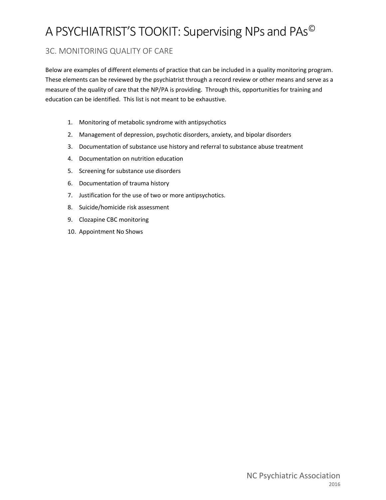### 3C. MONITORING QUALITY OF CARE

Below are examples of different elements of practice that can be included in a quality monitoring program. These elements can be reviewed by the psychiatrist through a record review or other means and serve as a measure of the quality of care that the NP/PA is providing. Through this, opportunities for training and education can be identified. This list is not meant to be exhaustive.

- 1. Monitoring of metabolic syndrome with antipsychotics
- 2. Management of depression, psychotic disorders, anxiety, and bipolar disorders
- 3. Documentation of substance use history and referral to substance abuse treatment
- 4. Documentation on nutrition education
- 5. Screening for substance use disorders
- 6. Documentation of trauma history
- 7. Justification for the use of two or more antipsychotics.
- 8. Suicide/homicide risk assessment
- 9. Clozapine CBC monitoring
- 10. Appointment No Shows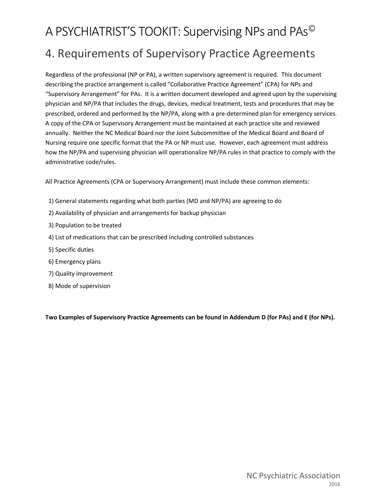# A PSYCHIATRIST'S TOOKIT: Supervising NPs and PAs© 4. Requirements of Supervisory Practice Agreements

Regardless of the professional (NP or PA), a written supervisory agreement is required. This document describing the practice arrangement is called "Collaborative Practice Agreement" (CPA) for NPs and "Supervisory Arrangement" for PAs. It is a written document developed and agreed upon by the supervising physician and NP/PA that includes the drugs, devices, medical treatment, tests and procedures that may be prescribed, ordered and performed by the NP/PA, along with a pre-determined plan for emergency services. A copy of the CPA or Supervisory Arrangement must be maintained at each practice site and reviewed annually. Neither the NC Medical Board nor the Joint Subcommittee of the Medical Board and Board of Nursing require one specific format that the PA or NP must use. However, each agreement must address how the NP/PA and supervising physician will operationalize NP/PA rules in that practice to comply with the administrative code/rules.

All Practice Agreements (CPA or Supervisory Arrangement) must include these common elements:

- 1) General statements regarding what both parties (MD and NP/PA) are agreeing to do
- 2) Availability of physician and arrangements for backup physician
- 3) Population to be treated
- 4) List of medications that can be prescribed including controlled substances
- 5) Specific duties
- 6) Emergency plans
- 7) Quality improvement
- 8) Mode of supervision

**Two Examples of Supervisory Practice Agreements can be found in Addendum D (for PAs) and E (for NPs).**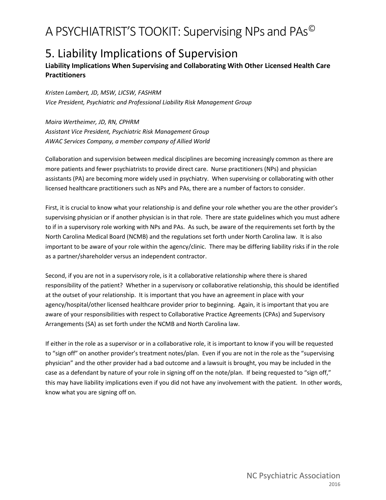# 5. Liability Implications of Supervision

### **Liability Implications When Supervising and Collaborating With Other Licensed Health Care Practitioners**

*Kristen Lambert, JD, MSW, LICSW, FASHRM Vice President, Psychiatric and Professional Liability Risk Management Group*

*Moira Wertheimer, JD, RN, CPHRM Assistant Vice President, Psychiatric Risk Management Group AWAC Services Company, a member company of Allied World*

Collaboration and supervision between medical disciplines are becoming increasingly common as there are more patients and fewer psychiatrists to provide direct care. Nurse practitioners (NPs) and physician assistants (PA) are becoming more widely used in psychiatry. When supervising or collaborating with other licensed healthcare practitioners such as NPs and PAs, there are a number of factors to consider.

First, it is crucial to know what your relationship is and define your role whether you are the other provider's supervising physician or if another physician is in that role. There are state guidelines which you must adhere to if in a supervisory role working with NPs and PAs. As such, be aware of the requirements set forth by the North Carolina Medical Board (NCMB) and the regulations set forth under North Carolina law. It is also important to be aware of your role within the agency/clinic. There may be differing liability risks if in the role as a partner/shareholder versus an independent contractor.

Second, if you are not in a supervisory role, is it a collaborative relationship where there is shared responsibility of the patient? Whether in a supervisory or collaborative relationship, this should be identified at the outset of your relationship. It is important that you have an agreement in place with your agency/hospital/other licensed healthcare provider prior to beginning. Again, it is important that you are aware of your responsibilities with respect to Collaborative Practice Agreements (CPAs) and Supervisory Arrangements (SA) as set forth under the NCMB and North Carolina law.

If either in the role as a supervisor or in a collaborative role, it is important to know if you will be requested to "sign off" on another provider's treatment notes/plan. Even if you are not in the role as the "supervising physician" and the other provider had a bad outcome and a lawsuit is brought, you may be included in the case as a defendant by nature of your role in signing off on the note/plan. If being requested to "sign off," this may have liability implications even if you did not have any involvement with the patient. In other words, know what you are signing off on.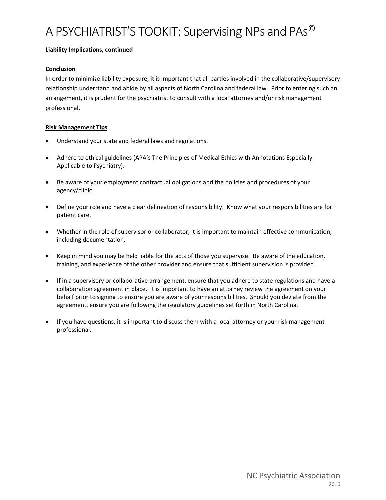#### **Liability Implications, continued**

### **Conclusion**

In order to minimize liability exposure, it is important that all parties involved in the collaborative/supervisory relationship understand and abide by all aspects of North Carolina and federal law. Prior to entering such an arrangement, it is prudent for the psychiatrist to consult with a local attorney and/or risk management professional.

### **Risk Management Tips**

- Understand your state and federal laws and regulations.
- Adhere to ethical guidelines (APA's The Principles of Medical Ethics with Annotations Especially Applicable to Psychiatry).
- Be aware of your employment contractual obligations and the policies and procedures of your agency/clinic.
- Define your role and have a clear delineation of responsibility. Know what your responsibilities are for patient care.
- Whether in the role of supervisor or collaborator, it is important to maintain effective communication, including documentation.
- Keep in mind you may be held liable for the acts of those you supervise. Be aware of the education, training, and experience of the other provider and ensure that sufficient supervision is provided.
- If in a supervisory or collaborative arrangement, ensure that you adhere to state regulations and have a collaboration agreement in place. It is important to have an attorney review the agreement on your behalf prior to signing to ensure you are aware of your responsibilities. Should you deviate from the agreement, ensure you are following the regulatory guidelines set forth in North Carolina.
- If you have questions, it is important to discuss them with a local attorney or your risk management professional.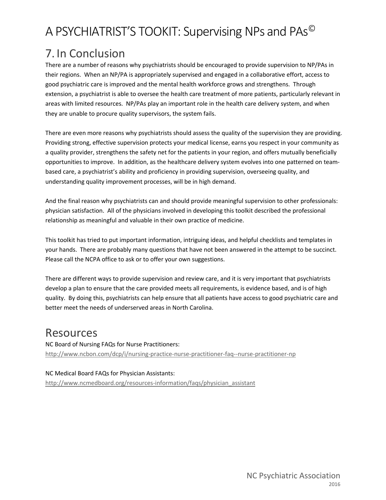# 7. In Conclusion

There are a number of reasons why psychiatrists should be encouraged to provide supervision to NP/PAs in their regions. When an NP/PA is appropriately supervised and engaged in a collaborative effort, access to good psychiatric care is improved and the mental health workforce grows and strengthens. Through extension, a psychiatrist is able to oversee the health care treatment of more patients, particularly relevant in areas with limited resources. NP/PAs play an important role in the health care delivery system, and when they are unable to procure quality supervisors, the system fails.

There are even more reasons why psychiatrists should assess the quality of the supervision they are providing. Providing strong, effective supervision protects your medical license, earns you respect in your community as a quality provider, strengthens the safety net for the patients in your region, and offers mutually beneficially opportunities to improve. In addition, as the healthcare delivery system evolves into one patterned on teambased care, a psychiatrist's ability and proficiency in providing supervision, overseeing quality, and understanding quality improvement processes, will be in high demand.

And the final reason why psychiatrists can and should provide meaningful supervision to other professionals: physician satisfaction. All of the physicians involved in developing this toolkit described the professional relationship as meaningful and valuable in their own practice of medicine.

This toolkit has tried to put important information, intriguing ideas, and helpful checklists and templates in your hands. There are probably many questions that have not been answered in the attempt to be succinct. Please call the NCPA office to ask or to offer your own suggestions.

There are different ways to provide supervision and review care, and it is very important that psychiatrists develop a plan to ensure that the care provided meets all requirements, is evidence based, and is of high quality. By doing this, psychiatrists can help ensure that all patients have access to good psychiatric care and better meet the needs of underserved areas in North Carolina.

# Resources

NC Board of Nursing FAQs for Nurse Practitioners: <http://www.ncbon.com/dcp/i/nursing-practice-nurse-practitioner-faq--nurse-practitioner-np>

### NC Medical Board FAQs for Physician Assistants:

[http://www.ncmedboard.org/resources-information/faqs/physician\\_assistant](http://www.ncmedboard.org/resources-information/faqs/physician_assistant)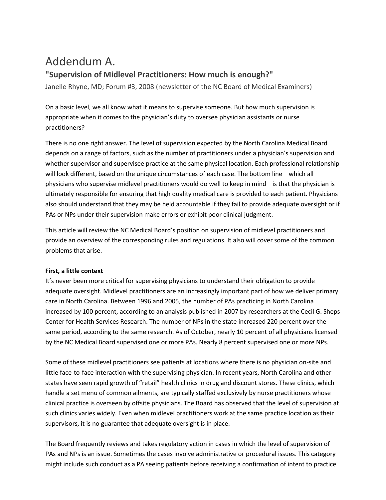# Addendum A.

### **"Supervision of Midlevel Practitioners: How much is enough?"**

Janelle Rhyne, MD; Forum #3, 2008 (newsletter of the NC Board of Medical Examiners)

On a basic level, we all know what it means to supervise someone. But how much supervision is appropriate when it comes to the physician's duty to oversee physician assistants or nurse practitioners?

There is no one right answer. The level of supervision expected by the North Carolina Medical Board depends on a range of factors, such as the number of practitioners under a physician's supervision and whether supervisor and supervisee practice at the same physical location. Each professional relationship will look different, based on the unique circumstances of each case. The bottom line—which all physicians who supervise midlevel practitioners would do well to keep in mind—is that the physician is ultimately responsible for ensuring that high quality medical care is provided to each patient. Physicians also should understand that they may be held accountable if they fail to provide adequate oversight or if PAs or NPs under their supervision make errors or exhibit poor clinical judgment.

This article will review the NC Medical Board's position on supervision of midlevel practitioners and provide an overview of the corresponding rules and regulations. It also will cover some of the common problems that arise.

#### **First, a little context**

It's never been more critical for supervising physicians to understand their obligation to provide adequate oversight. Midlevel practitioners are an increasingly important part of how we deliver primary care in North Carolina. Between 1996 and 2005, the number of PAs practicing in North Carolina increased by 100 percent, according to an analysis published in 2007 by researchers at the Cecil G. Sheps Center for Health Services Research. The number of NPs in the state increased 220 percent over the same period, according to the same research. As of October, nearly 10 percent of all physicians licensed by the NC Medical Board supervised one or more PAs. Nearly 8 percent supervised one or more NPs.

Some of these midlevel practitioners see patients at locations where there is no physician on-site and little face-to-face interaction with the supervising physician. In recent years, North Carolina and other states have seen rapid growth of "retail" health clinics in drug and discount stores. These clinics, which handle a set menu of common ailments, are typically staffed exclusively by nurse practitioners whose clinical practice is overseen by offsite physicians. The Board has observed that the level of supervision at such clinics varies widely. Even when midlevel practitioners work at the same practice location as their supervisors, it is no guarantee that adequate oversight is in place.

The Board frequently reviews and takes regulatory action in cases in which the level of supervision of PAs and NPs is an issue. Sometimes the cases involve administrative or procedural issues. This category might include such conduct as a PA seeing patients before receiving a confirmation of intent to practice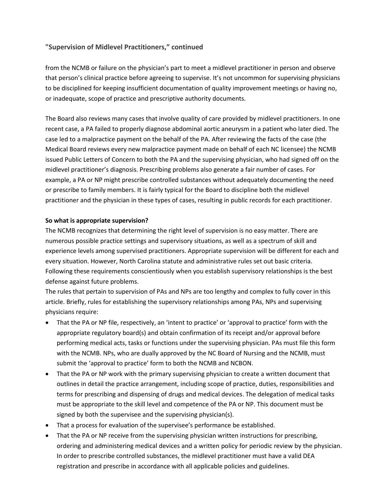### **"Supervision of Midlevel Practitioners," continued**

from the NCMB or failure on the physician's part to meet a midlevel practitioner in person and observe that person's clinical practice before agreeing to supervise. It's not uncommon for supervising physicians to be disciplined for keeping insufficient documentation of quality improvement meetings or having no, or inadequate, scope of practice and prescriptive authority documents.

The Board also reviews many cases that involve quality of care provided by midlevel practitioners. In one recent case, a PA failed to properly diagnose abdominal aortic aneurysm in a patient who later died. The case led to a malpractice payment on the behalf of the PA. After reviewing the facts of the case (the Medical Board reviews every new malpractice payment made on behalf of each NC licensee) the NCMB issued Public Letters of Concern to both the PA and the supervising physician, who had signed off on the midlevel practitioner's diagnosis. Prescribing problems also generate a fair number of cases. For example, a PA or NP might prescribe controlled substances without adequately documenting the need or prescribe to family members. It is fairly typical for the Board to discipline both the midlevel practitioner and the physician in these types of cases, resulting in public records for each practitioner.

#### **So what is appropriate supervision?**

The NCMB recognizes that determining the right level of supervision is no easy matter. There are numerous possible practice settings and supervisory situations, as well as a spectrum of skill and experience levels among supervised practitioners. Appropriate supervision will be different for each and every situation. However, North Carolina statute and administrative rules set out basic criteria. Following these requirements conscientiously when you establish supervisory relationships is the best defense against future problems.

The rules that pertain to supervision of PAs and NPs are too lengthy and complex to fully cover in this article. Briefly, rules for establishing the supervisory relationships among PAs, NPs and supervising physicians require:

- That the PA or NP file, respectively, an 'intent to practice' or 'approval to practice' form with the appropriate regulatory board(s) and obtain confirmation of its receipt and/or approval before performing medical acts, tasks or functions under the supervising physician. PAs must file this form with the NCMB. NPs, who are dually approved by the NC Board of Nursing and the NCMB, must submit the 'approval to practice' form to both the NCMB and NCBON.
- That the PA or NP work with the primary supervising physician to create a written document that outlines in detail the practice arrangement, including scope of practice, duties, responsibilities and terms for prescribing and dispensing of drugs and medical devices. The delegation of medical tasks must be appropriate to the skill level and competence of the PA or NP. This document must be signed by both the supervisee and the supervising physician(s).
- That a process for evaluation of the supervisee's performance be established.
- That the PA or NP receive from the supervising physician written instructions for prescribing, ordering and administering medical devices and a written policy for periodic review by the physician. In order to prescribe controlled substances, the midlevel practitioner must have a valid DEA registration and prescribe in accordance with all applicable policies and guidelines.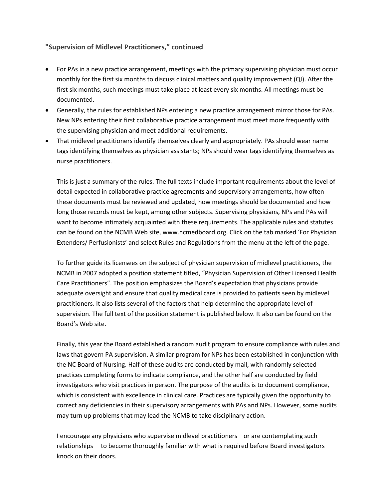### **"Supervision of Midlevel Practitioners," continued**

- For PAs in a new practice arrangement, meetings with the primary supervising physician must occur monthly for the first six months to discuss clinical matters and quality improvement (QI). After the first six months, such meetings must take place at least every six months. All meetings must be documented.
- Generally, the rules for established NPs entering a new practice arrangement mirror those for PAs. New NPs entering their first collaborative practice arrangement must meet more frequently with the supervising physician and meet additional requirements.
- That midlevel practitioners identify themselves clearly and appropriately. PAs should wear name tags identifying themselves as physician assistants; NPs should wear tags identifying themselves as nurse practitioners.

This is just a summary of the rules. The full texts include important requirements about the level of detail expected in collaborative practice agreements and supervisory arrangements, how often these documents must be reviewed and updated, how meetings should be documented and how long those records must be kept, among other subjects. Supervising physicians, NPs and PAs will want to become intimately acquainted with these requirements. The applicable rules and statutes can be found on the NCMB Web site, www.ncmedboard.org. Click on the tab marked 'For Physician Extenders/ Perfusionists' and select Rules and Regulations from the menu at the left of the page.

To further guide its licensees on the subject of physician supervision of midlevel practitioners, the NCMB in 2007 adopted a position statement titled, "Physician Supervision of Other Licensed Health Care Practitioners". The position emphasizes the Board's expectation that physicians provide adequate oversight and ensure that quality medical care is provided to patients seen by midlevel practitioners. It also lists several of the factors that help determine the appropriate level of supervision. The full text of the position statement is published below. It also can be found on the Board's Web site.

Finally, this year the Board established a random audit program to ensure compliance with rules and laws that govern PA supervision. A similar program for NPs has been established in conjunction with the NC Board of Nursing. Half of these audits are conducted by mail, with randomly selected practices completing forms to indicate compliance, and the other half are conducted by field investigators who visit practices in person. The purpose of the audits is to document compliance, which is consistent with excellence in clinical care. Practices are typically given the opportunity to correct any deficiencies in their supervisory arrangements with PAs and NPs. However, some audits may turn up problems that may lead the NCMB to take disciplinary action.

I encourage any physicians who supervise midlevel practitioners—or are contemplating such relationships —to become thoroughly familiar with what is required before Board investigators knock on their doors.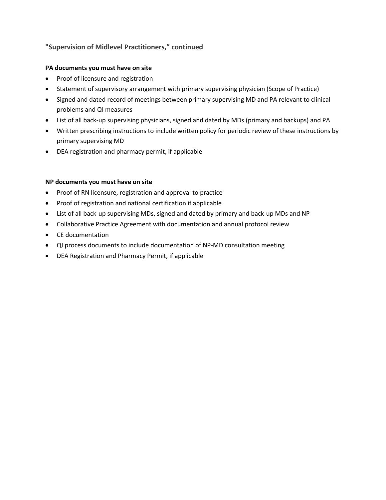### **"Supervision of Midlevel Practitioners," continued**

### **PA documents you must have on site**

- Proof of licensure and registration
- Statement of supervisory arrangement with primary supervising physician (Scope of Practice)
- Signed and dated record of meetings between primary supervising MD and PA relevant to clinical problems and QI measures
- List of all back-up supervising physicians, signed and dated by MDs (primary and backups) and PA
- Written prescribing instructions to include written policy for periodic review of these instructions by primary supervising MD
- DEA registration and pharmacy permit, if applicable

### **NP documents you must have on site**

- Proof of RN licensure, registration and approval to practice
- Proof of registration and national certification if applicable
- List of all back-up supervising MDs, signed and dated by primary and back-up MDs and NP
- Collaborative Practice Agreement with documentation and annual protocol review
- CE documentation
- QI process documents to include documentation of NP-MD consultation meeting
- DEA Registration and Pharmacy Permit, if applicable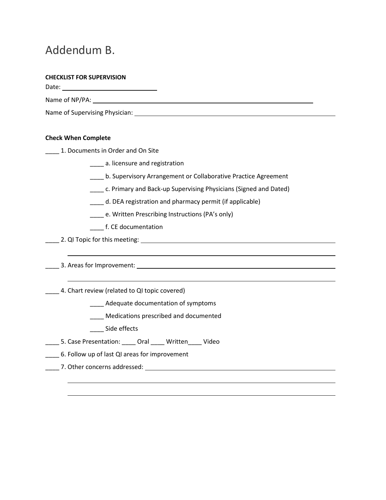# Addendum B.

### **CHECKLIST FOR SUPERVISION**

Date:

Name of NP/PA:

Name of Supervising Physician:

### **Check When Complete**

**\_\_\_\_\_ 1. Documents in Order and On Site** 

\_\_\_\_ a. licensure and registration

\_\_\_\_ b. Supervisory Arrangement or Collaborative Practice Agreement

\_\_\_\_ c. Primary and Back-up Supervising Physicians (Signed and Dated)

\_\_\_\_ d. DEA registration and pharmacy permit (if applicable)

\_\_\_\_ e. Written Prescribing Instructions (PA's only)

\_\_\_\_ f. CE documentation

**2.** QI Topic for this meeting: **can be a contract to a contract of the contract of the contract of the contract of the contract of the contract of the contract of the contract of the contract of the contract of the contra** 

\_\_\_\_ 3. Areas for Improvement:

4. Chart review (related to QI topic covered)

\_\_\_\_ Adequate documentation of symptoms

\_\_\_\_ Medications prescribed and documented

\_\_\_\_\_ Side effects

\_\_\_\_ 5. Case Presentation: \_\_\_\_ Oral \_\_\_\_ Written\_\_\_\_ Video

\_\_\_\_ 6. Follow up of last QI areas for improvement

\_\_\_\_ 7. Other concerns addressed: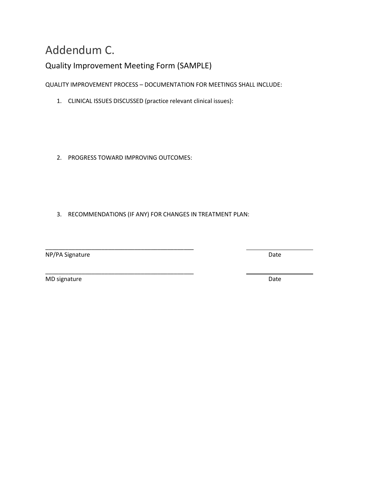# Addendum C.

### Quality Improvement Meeting Form (SAMPLE)

QUALITY IMPROVEMENT PROCESS – DOCUMENTATION FOR MEETINGS SHALL INCLUDE:

- 1. CLINICAL ISSUES DISCUSSED (practice relevant clinical issues):
- 2. PROGRESS TOWARD IMPROVING OUTCOMES:

\_\_\_\_\_\_\_\_\_\_\_\_\_\_\_\_\_\_\_\_\_\_\_\_\_\_\_\_\_\_\_\_\_\_\_\_\_\_\_\_\_\_\_\_\_

3. RECOMMENDATIONS (IF ANY) FOR CHANGES IN TREATMENT PLAN:

\_\_\_\_\_\_\_\_\_\_\_\_\_\_\_\_\_\_\_\_\_\_\_\_\_\_\_\_\_\_\_\_\_\_\_\_\_\_\_\_\_\_\_\_\_ NP/PA Signature Date

MD signature Date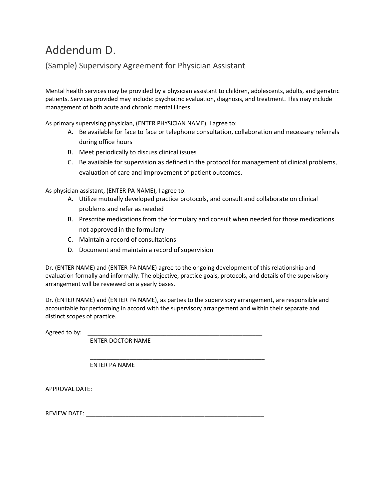# Addendum D.

### (Sample) Supervisory Agreement for Physician Assistant

Mental health services may be provided by a physician assistant to children, adolescents, adults, and geriatric patients. Services provided may include: psychiatric evaluation, diagnosis, and treatment. This may include management of both acute and chronic mental illness.

As primary supervising physician, (ENTER PHYSICIAN NAME), I agree to:

- A. Be available for face to face or telephone consultation, collaboration and necessary referrals during office hours
- B. Meet periodically to discuss clinical issues
- C. Be available for supervision as defined in the protocol for management of clinical problems, evaluation of care and improvement of patient outcomes.

As physician assistant, (ENTER PA NAME), I agree to:

- A. Utilize mutually developed practice protocols, and consult and collaborate on clinical problems and refer as needed
- B. Prescribe medications from the formulary and consult when needed for those medications not approved in the formulary
- C. Maintain a record of consultations
- D. Document and maintain a record of supervision

Dr. (ENTER NAME) and (ENTER PA NAME) agree to the ongoing development of this relationship and evaluation formally and informally. The objective, practice goals, protocols, and details of the supervisory arrangement will be reviewed on a yearly bases.

Dr. (ENTER NAME) and (ENTER PA NAME), as parties to the supervisory arrangement, are responsible and accountable for performing in accord with the supervisory arrangement and within their separate and distinct scopes of practice.

\_\_\_\_\_\_\_\_\_\_\_\_\_\_\_\_\_\_\_\_\_\_\_\_\_\_\_\_\_\_\_\_\_\_\_\_\_\_\_\_\_\_\_\_\_\_\_\_\_\_\_\_\_

Agreed to by:

ENTER DOCTOR NAME

ENTER PA NAME

APPROVAL DATE:  $\blacksquare$ 

REVIEW DATE: \_\_\_\_\_\_\_\_\_\_\_\_\_\_\_\_\_\_\_\_\_\_\_\_\_\_\_\_\_\_\_\_\_\_\_\_\_\_\_\_\_\_\_\_\_\_\_\_\_\_\_\_\_\_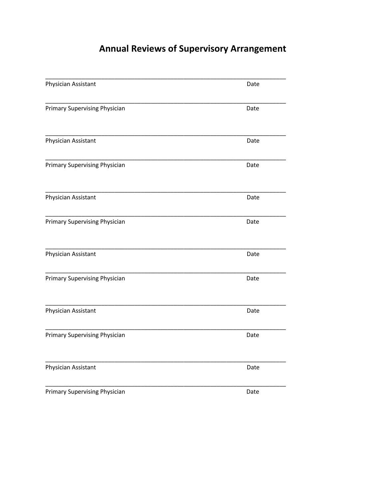# **Annual Reviews of Supervisory Arrangement**

| Physician Assistant                  | Date |  |
|--------------------------------------|------|--|
| <b>Primary Supervising Physician</b> | Date |  |
| Physician Assistant                  | Date |  |
| <b>Primary Supervising Physician</b> | Date |  |
| Physician Assistant                  | Date |  |
| <b>Primary Supervising Physician</b> | Date |  |
| Physician Assistant                  | Date |  |
| Primary Supervising Physician        | Date |  |
| Physician Assistant                  | Date |  |
| <b>Primary Supervising Physician</b> | Date |  |
| Physician Assistant                  | Date |  |
| <b>Primary Supervising Physician</b> | Date |  |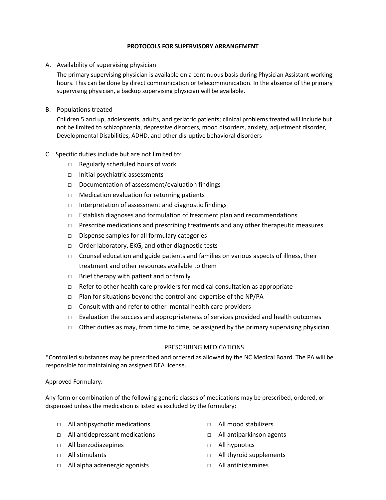#### **PROTOCOLS FOR SUPERVISORY ARRANGEMENT**

#### A. Availability of supervising physician

The primary supervising physician is available on a continuous basis during Physician Assistant working hours. This can be done by direct communication or telecommunication. In the absence of the primary supervising physician, a backup supervising physician will be available.

#### B. Populations treated

Children 5 and up, adolescents, adults, and geriatric patients; clinical problems treated will include but not be limited to schizophrenia, depressive disorders, mood disorders, anxiety, adjustment disorder, Developmental Disabilities, ADHD, and other disruptive behavioral disorders

- C. Specific duties include but are not limited to:
	- □ Regularly scheduled hours of work
	- □ Initial psychiatric assessments
	- □ Documentation of assessment/evaluation findings
	- □ Medication evaluation for returning patients
	- □ Interpretation of assessment and diagnostic findings
	- □ Establish diagnoses and formulation of treatment plan and recommendations
	- □ Prescribe medications and prescribing treatments and any other therapeutic measures
	- □ Dispense samples for all formulary categories
	- □ Order laboratory, EKG, and other diagnostic tests
	- $\Box$  Counsel education and guide patients and families on various aspects of illness, their treatment and other resources available to them
	- $\Box$  Brief therapy with patient and or family
	- $\Box$  Refer to other health care providers for medical consultation as appropriate
	- $\Box$  Plan for situations beyond the control and expertise of the NP/PA
	- □ Consult with and refer to other mental health care providers
	- $\Box$  Evaluation the success and appropriateness of services provided and health outcomes
	- $\Box$  Other duties as may, from time to time, be assigned by the primary supervising physician

#### PRESCRIBING MEDICATIONS

\*Controlled substances may be prescribed and ordered as allowed by the NC Medical Board. The PA will be responsible for maintaining an assigned DEA license.

#### Approved Formulary:

Any form or combination of the following generic classes of medications may be prescribed, ordered, or dispensed unless the medication is listed as excluded by the formulary:

- □ All antipsychotic medications
- □ All antidepressant medications
- □ All benzodiazepines
- □ All stimulants
- □ All alpha adrenergic agonists
- □ All mood stabilizers
- □ All antiparkinson agents
- □ All hypnotics
- □ All thyroid supplements
- □ All antihistamines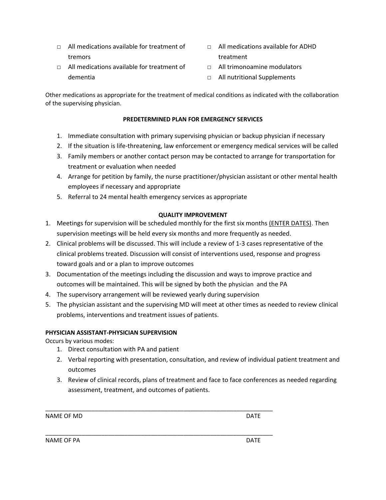- $\Box$  All medications available for treatment of tremors
- □ All medications available for treatment of dementia
- $\neg$  All medications available for ADHD treatment
- □ All trimonoamine modulators
- □ All nutritional Supplements

Other medications as appropriate for the treatment of medical conditions as indicated with the collaboration of the supervising physician.

### **PREDETERMINED PLAN FOR EMERGENCY SERVICES**

- 1. Immediate consultation with primary supervising physician or backup physician if necessary
- 2. If the situation is life-threatening, law enforcement or emergency medical services will be called
- 3. Family members or another contact person may be contacted to arrange for transportation for treatment or evaluation when needed
- 4. Arrange for petition by family, the nurse practitioner/physician assistant or other mental health employees if necessary and appropriate
- 5. Referral to 24 mental health emergency services as appropriate

#### **QUALITY IMPROVEMENT**

- 1. Meetings for supervision will be scheduled monthly for the first six months (ENTER DATES). Then supervision meetings will be held every six months and more frequently as needed.
- 2. Clinical problems will be discussed. This will include a review of 1-3 cases representative of the clinical problems treated. Discussion will consist of interventions used, response and progress toward goals and or a plan to improve outcomes
- 3. Documentation of the meetings including the discussion and ways to improve practice and outcomes will be maintained. This will be signed by both the physician and the PA
- 4. The supervisory arrangement will be reviewed yearly during supervision

\_\_\_\_\_\_\_\_\_\_\_\_\_\_\_\_\_\_\_\_\_\_\_\_\_\_\_\_\_\_\_\_\_\_\_\_\_\_\_\_\_\_\_\_\_\_\_\_\_\_\_\_\_\_\_\_\_\_\_\_\_\_\_\_\_\_\_\_\_

5. The physician assistant and the supervising MD will meet at other times as needed to review clinical problems, interventions and treatment issues of patients.

### **PHYSICIAN ASSISTANT-PHYSICIAN SUPERVISION**

Occurs by various modes:

- 1. Direct consultation with PA and patient
- 2. Verbal reporting with presentation, consultation, and review of individual patient treatment and outcomes
- 3. Review of clinical records, plans of treatment and face to face conferences as needed regarding assessment, treatment, and outcomes of patients.

NAME OF MD

\_\_\_\_\_\_\_\_\_\_\_\_\_\_\_\_\_\_\_\_\_\_\_\_\_\_\_\_\_\_\_\_\_\_\_\_\_\_\_\_\_\_\_\_\_\_\_\_\_\_\_\_\_\_\_\_\_\_\_\_\_\_\_\_\_\_\_\_\_

NAME OF PA DATE OF PARTICLE AND DESCRIPTION OF PARTICLE AND ALL ASSESSED. THE OWNER WAS ARRESTED FOR DATE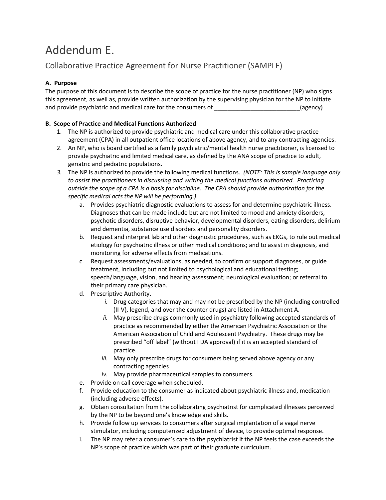# Addendum E.

### Collaborative Practice Agreement for Nurse Practitioner (SAMPLE)

### **A. Purpose**

The purpose of this document is to describe the scope of practice for the nurse practitioner (NP) who signs this agreement, as well as, provide written authorization by the supervising physician for the NP to initiate and provide psychiatric and medical care for the consumers of \_\_\_\_\_\_\_\_\_\_\_\_\_\_\_\_\_\_\_\_\_\_\_\_\_\_(agency)

### **B. Scope of Practice and Medical Functions Authorized**

- 1. The NP is authorized to provide psychiatric and medical care under this collaborative practice agreement (CPA) in all outpatient office locations of above agency, and to any contracting agencies.
- 2. An NP, who is board certified as a family psychiatric/mental health nurse practitioner, is licensed to provide psychiatric and limited medical care, as defined by the ANA scope of practice to adult, geriatric and pediatric populations.
- *3.* The NP is authorized to provide the following medical functions. *(NOTE: This is sample language only to assist the practitioners in discussing and writing the medical functions authorized. Practicing outside the scope of a CPA is a basis for discipline. The CPA should provide authorization for the specific medical acts the NP will be performing.)*
	- a. Provides psychiatric diagnostic evaluations to assess for and determine psychiatric illness. Diagnoses that can be made include but are not limited to mood and anxiety disorders, psychotic disorders, disruptive behavior, developmental disorders, eating disorders, delirium and dementia, substance use disorders and personality disorders.
	- b. Request and interpret lab and other diagnostic procedures, such as EKGs, to rule out medical etiology for psychiatric illness or other medical conditions; and to assist in diagnosis, and monitoring for adverse effects from medications.
	- c. Request assessments/evaluations, as needed, to confirm or support diagnoses, or guide treatment, including but not limited to psychological and educational testing; speech/language, vision, and hearing assessment; neurological evaluation; or referral to their primary care physician.
	- d. Prescriptive Authority.
		- *i.* Drug categories that may and may not be prescribed by the NP (including controlled (II-V), legend, and over the counter drugs) are listed in Attachment A.
		- *ii.* May prescribe drugs commonly used in psychiatry following accepted standards of practice as recommended by either the American Psychiatric Association or the American Association of Child and Adolescent Psychiatry. These drugs may be prescribed "off label" (without FDA approval) if it is an accepted standard of practice.
		- *iii.* May only prescribe drugs for consumers being served above agency or any contracting agencies
		- *iv.* May provide pharmaceutical samples to consumers.
	- e. Provide on call coverage when scheduled.
	- f. Provide education to the consumer as indicated about psychiatric illness and, medication (including adverse effects).
	- g. Obtain consultation from the collaborating psychiatrist for complicated illnesses perceived by the NP to be beyond one's knowledge and skills.
	- h. Provide follow up services to consumers after surgical implantation of a vagal nerve stimulator, including computerized adjustment of device, to provide optimal response.
	- i. The NP may refer a consumer's care to the psychiatrist if the NP feels the case exceeds the NP's scope of practice which was part of their graduate curriculum.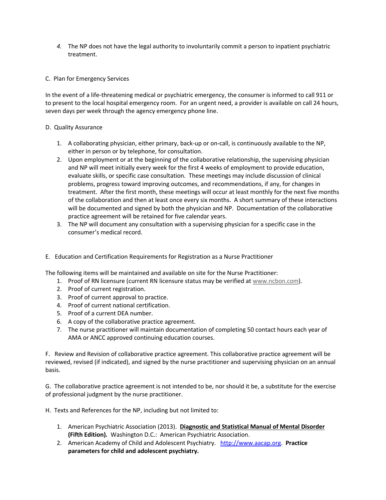- *4.* The NP does not have the legal authority to involuntarily commit a person to inpatient psychiatric treatment.
- C. Plan for Emergency Services

In the event of a life-threatening medical or psychiatric emergency, the consumer is informed to call 911 or to present to the local hospital emergency room. For an urgent need, a provider is available on call 24 hours, seven days per week through the agency emergency phone line.

#### D. Quality Assurance

- 1. A collaborating physician, either primary, back-up or on-call, is continuously available to the NP, either in person or by telephone, for consultation.
- 2. Upon employment or at the beginning of the collaborative relationship, the supervising physician and NP will meet initially every week for the first 4 weeks of employment to provide education, evaluate skills, or specific case consultation. These meetings may include discussion of clinical problems, progress toward improving outcomes, and recommendations, if any, for changes in treatment. After the first month, these meetings will occur at least monthly for the next five months of the collaboration and then at least once every six months. A short summary of these interactions will be documented and signed by both the physician and NP. Documentation of the collaborative practice agreement will be retained for five calendar years.
- 3. The NP will document any consultation with a supervising physician for a specific case in the consumer's medical record.
- E. Education and Certification Requirements for Registration as a Nurse Practitioner

The following items will be maintained and available on site for the Nurse Practitioner:

- 1. Proof of RN licensure (current RN licensure status may be verified at [www.ncbon.com\)](http://www.ncbon.com/).
- 2. Proof of current registration.
- 3. Proof of current approval to practice.
- 4. Proof of current national certification.
- 5. Proof of a current DEA number.
- 6. A copy of the collaborative practice agreement.
- 7. The nurse practitioner will maintain documentation of completing 50 contact hours each year of AMA or ANCC approved continuing education courses.

F. Review and Revision of collaborative practice agreement. This collaborative practice agreement will be reviewed, revised (if indicated), and signed by the nurse practitioner and supervising physician on an annual basis.

G. The collaborative practice agreement is not intended to be, nor should it be, a substitute for the exercise of professional judgment by the nurse practitioner.

H. Texts and References for the NP, including but not limited to:

- 1. American Psychiatric Association (2013). **Diagnostic and Statistical Manual of Mental Disorder (Fifth Edition).** Washington D.C.: American Psychiatric Association.
- 2. American Academy of Child and Adolescent Psychiatry. [http://www.aacap.org.](http://www.aacap.org/) **Practice parameters for child and adolescent psychiatry.**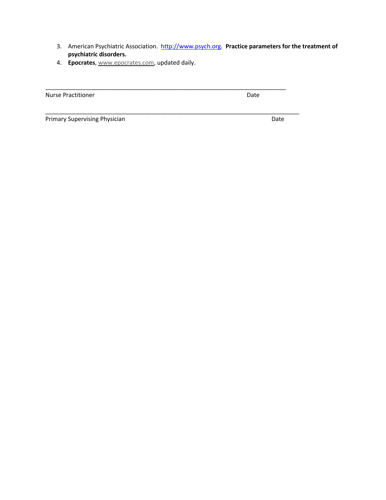3. American Psychiatric Association. [http://www.psych.org.](http://www.psych.org/) **Practice parameters for the treatment of psychiatric disorders.**

\_\_\_\_\_\_\_\_\_\_\_\_\_\_\_\_\_\_\_\_\_\_\_\_\_\_\_\_\_\_\_\_\_\_\_\_\_\_\_\_\_\_\_\_\_\_\_\_\_\_\_\_\_\_\_\_\_\_\_\_\_\_\_\_\_\_\_\_\_\_\_\_\_

4. **Epocrates**, [www.epocrates.com,](http://www.epocrates.com/) updated daily.

| <b>Nurse Practitioner</b> | Date |
|---------------------------|------|
|                           |      |

Primary Supervising Physician **Date** Date Date Date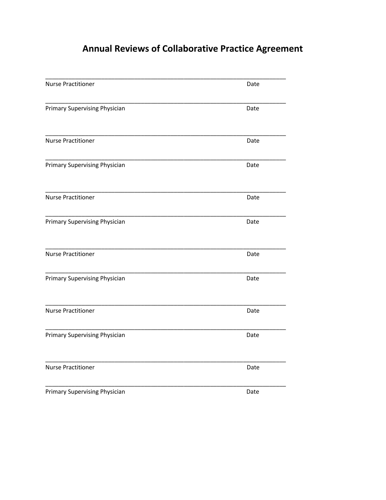# **Annual Reviews of Collaborative Practice Agreement**

| <b>Nurse Practitioner</b>            | Date |  |
|--------------------------------------|------|--|
| Primary Supervising Physician        | Date |  |
| <b>Nurse Practitioner</b>            | Date |  |
| Primary Supervising Physician        | Date |  |
| <b>Nurse Practitioner</b>            | Date |  |
| Primary Supervising Physician        | Date |  |
| <b>Nurse Practitioner</b>            | Date |  |
| <b>Primary Supervising Physician</b> | Date |  |
| <b>Nurse Practitioner</b>            | Date |  |
| Primary Supervising Physician        | Date |  |
| <b>Nurse Practitioner</b>            | Date |  |
| Primary Supervising Physician        | Date |  |